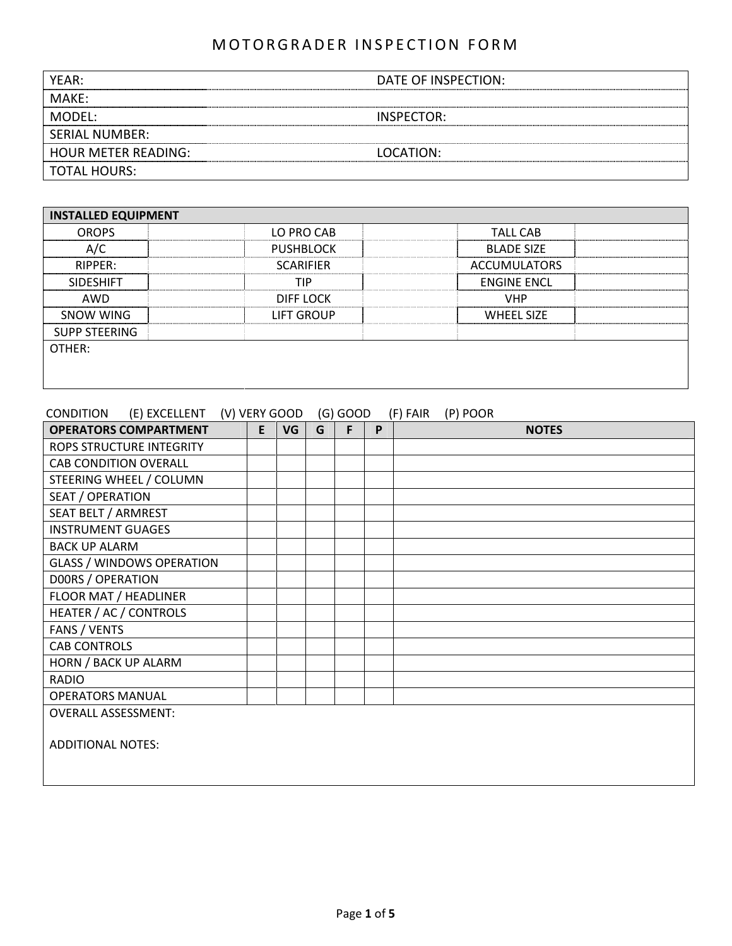| YFAR:                      | DATE OF INSPECTION: |
|----------------------------|---------------------|
| MAKE:                      |                     |
| MODFL:                     | INSPECTOR:          |
| SERIAL NUMBER:             |                     |
| <b>HOUR METER READING:</b> | LOCATION:           |
| <b>TOTAL HOURS:</b>        |                     |

| <b>INSTALLED EQUIPMENT</b> |                  |                     |  |
|----------------------------|------------------|---------------------|--|
| <b>OROPS</b>               | LO PRO CAB       | <b>TALL CAB</b>     |  |
| A/C                        | <b>PUSHBLOCK</b> | <b>BLADE SIZE</b>   |  |
| RIPPER:                    | <b>SCARIFIER</b> | <b>ACCUMULATORS</b> |  |
| <b>SIDESHIFT</b>           | <b>TIP</b>       | <b>ENGINE ENCL</b>  |  |
| AWD                        | DIFF LOCK        | <b>VHP</b>          |  |
| <b>SNOW WING</b>           | LIFT GROUP       | <b>WHEEL SIZE</b>   |  |
| <b>SUPP STEERING</b>       |                  |                     |  |
| OTHER:                     |                  |                     |  |
|                            |                  |                     |  |
|                            |                  |                     |  |

### CONDITION (E) EXCELLENT (V) VERY GOOD (G) GOOD (F) FAIR (P) POOR

| <b>OPERATORS COMPARTMENT</b>     | E | <b>VG</b> | G | F | P | <b>NOTES</b> |
|----------------------------------|---|-----------|---|---|---|--------------|
| ROPS STRUCTURE INTEGRITY         |   |           |   |   |   |              |
| <b>CAB CONDITION OVERALL</b>     |   |           |   |   |   |              |
| STEERING WHEEL / COLUMN          |   |           |   |   |   |              |
| SEAT / OPERATION                 |   |           |   |   |   |              |
| SEAT BELT / ARMREST              |   |           |   |   |   |              |
| <b>INSTRUMENT GUAGES</b>         |   |           |   |   |   |              |
| <b>BACK UP ALARM</b>             |   |           |   |   |   |              |
| <b>GLASS / WINDOWS OPERATION</b> |   |           |   |   |   |              |
| DOORS / OPERATION                |   |           |   |   |   |              |
| FLOOR MAT / HEADLINER            |   |           |   |   |   |              |
| HEATER / AC / CONTROLS           |   |           |   |   |   |              |
| FANS / VENTS                     |   |           |   |   |   |              |
| <b>CAB CONTROLS</b>              |   |           |   |   |   |              |
| HORN / BACK UP ALARM             |   |           |   |   |   |              |
| <b>RADIO</b>                     |   |           |   |   |   |              |
| <b>OPERATORS MANUAL</b>          |   |           |   |   |   |              |
| <b>OVERALL ASSESSMENT:</b>       |   |           |   |   |   |              |
| <b>ADDITIONAL NOTES:</b>         |   |           |   |   |   |              |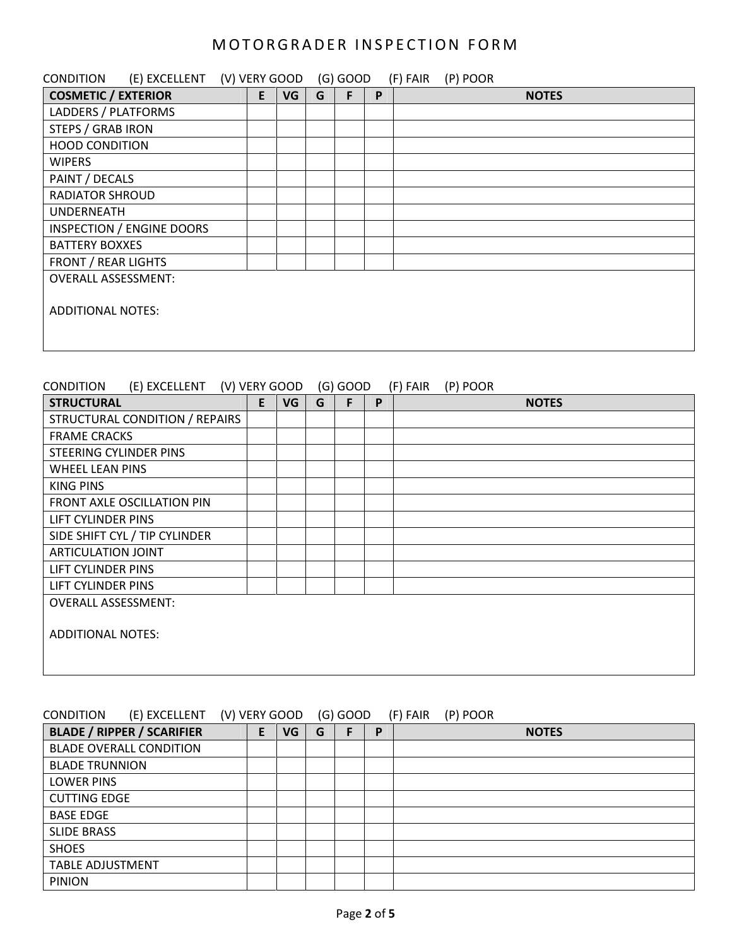| <b>CONDITION</b>                 | (E) EXCELLENT (V) VERY GOOD |   |    |   | $(G)$ GOOD |   | (F) FAIR | (P) POOR |              |
|----------------------------------|-----------------------------|---|----|---|------------|---|----------|----------|--------------|
| <b>COSMETIC / EXTERIOR</b>       |                             | E | VG | G | F          | P |          |          | <b>NOTES</b> |
| LADDERS / PLATFORMS              |                             |   |    |   |            |   |          |          |              |
| <b>STEPS / GRAB IRON</b>         |                             |   |    |   |            |   |          |          |              |
| <b>HOOD CONDITION</b>            |                             |   |    |   |            |   |          |          |              |
| <b>WIPERS</b>                    |                             |   |    |   |            |   |          |          |              |
| PAINT / DECALS                   |                             |   |    |   |            |   |          |          |              |
| <b>RADIATOR SHROUD</b>           |                             |   |    |   |            |   |          |          |              |
| <b>UNDERNEATH</b>                |                             |   |    |   |            |   |          |          |              |
| <b>INSPECTION / ENGINE DOORS</b> |                             |   |    |   |            |   |          |          |              |
| <b>BATTERY BOXXES</b>            |                             |   |    |   |            |   |          |          |              |
| <b>FRONT / REAR LIGHTS</b>       |                             |   |    |   |            |   |          |          |              |
| <b>OVERALL ASSESSMENT:</b>       |                             |   |    |   |            |   |          |          |              |
|                                  |                             |   |    |   |            |   |          |          |              |
| <b>ADDITIONAL NOTES:</b>         |                             |   |    |   |            |   |          |          |              |
|                                  |                             |   |    |   |            |   |          |          |              |
|                                  |                             |   |    |   |            |   |          |          |              |

### CONDITION (E) EXCELLENT (V) VERY GOOD (G) GOOD (F) FAIR (P) POOR

| <b>STRUCTURAL</b>              | E. | VG | G | F | P | <b>NOTES</b> |
|--------------------------------|----|----|---|---|---|--------------|
| STRUCTURAL CONDITION / REPAIRS |    |    |   |   |   |              |
| <b>FRAME CRACKS</b>            |    |    |   |   |   |              |
| STEERING CYLINDER PINS         |    |    |   |   |   |              |
| WHEEL LEAN PINS                |    |    |   |   |   |              |
| KING PINS                      |    |    |   |   |   |              |
| FRONT AXLE OSCILLATION PIN     |    |    |   |   |   |              |
| LIFT CYLINDER PINS             |    |    |   |   |   |              |
| SIDE SHIFT CYL / TIP CYLINDER  |    |    |   |   |   |              |
| ARTICULATION JOINT             |    |    |   |   |   |              |
| LIFT CYLINDER PINS             |    |    |   |   |   |              |
| LIFT CYLINDER PINS             |    |    |   |   |   |              |
| <b>OVERALL ASSESSMENT:</b>     |    |    |   |   |   |              |
|                                |    |    |   |   |   |              |
| <b>ADDITIONAL NOTES:</b>       |    |    |   |   |   |              |
|                                |    |    |   |   |   |              |
|                                |    |    |   |   |   |              |

### CONDITION (E) EXCELLENT (V) VERY GOOD (G) GOOD (F) FAIR (P) POOR

| <b>BLADE / RIPPER / SCARIFIER</b> | E | VG | G | P | <b>NOTES</b> |
|-----------------------------------|---|----|---|---|--------------|
| <b>BLADE OVERALL CONDITION</b>    |   |    |   |   |              |
| <b>BLADE TRUNNION</b>             |   |    |   |   |              |
| <b>LOWER PINS</b>                 |   |    |   |   |              |
| <b>CUTTING EDGE</b>               |   |    |   |   |              |
| <b>BASE EDGE</b>                  |   |    |   |   |              |
| <b>SLIDE BRASS</b>                |   |    |   |   |              |
| <b>SHOES</b>                      |   |    |   |   |              |
| <b>TABLE ADJUSTMENT</b>           |   |    |   |   |              |
| <b>PINION</b>                     |   |    |   |   |              |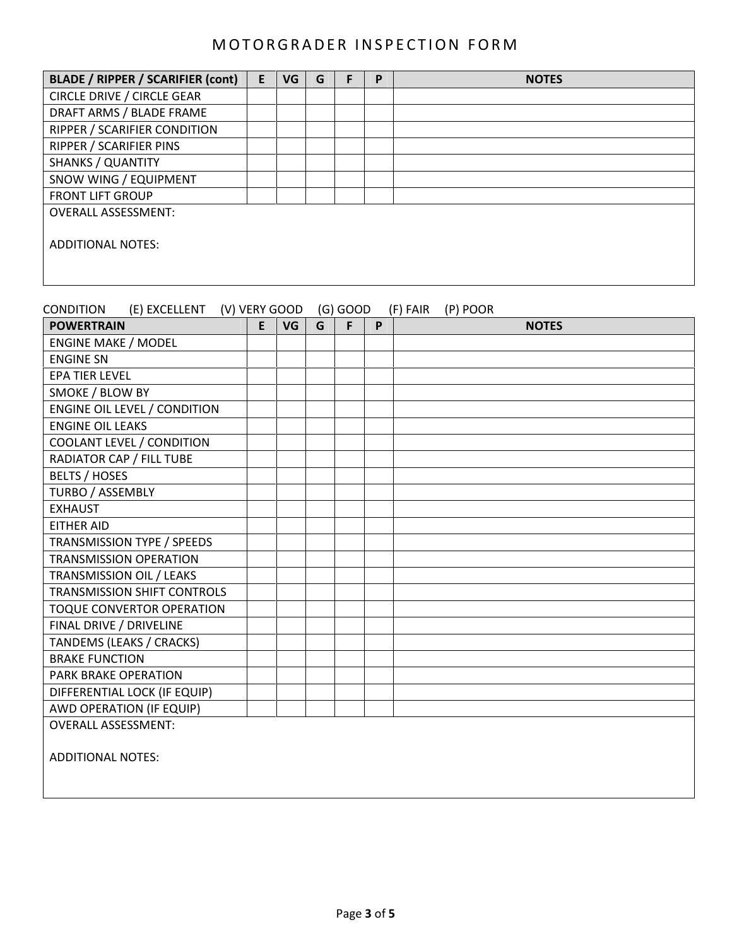| <b>BLADE / RIPPER / SCARIFIER (cont)</b> | E. | VG | G | P | <b>NOTES</b> |
|------------------------------------------|----|----|---|---|--------------|
| <b>CIRCLE DRIVE / CIRCLE GEAR</b>        |    |    |   |   |              |
| DRAFT ARMS / BLADE FRAME                 |    |    |   |   |              |
| RIPPER / SCARIFIER CONDITION             |    |    |   |   |              |
| RIPPER / SCARIFIER PINS                  |    |    |   |   |              |
| <b>SHANKS / QUANTITY</b>                 |    |    |   |   |              |
| SNOW WING / EQUIPMENT                    |    |    |   |   |              |
| <b>FRONT LIFT GROUP</b>                  |    |    |   |   |              |
| <b>OVERALL ASSESSMENT:</b>               |    |    |   |   |              |
| ADDITIONAL NOTES:                        |    |    |   |   |              |

| (E) EXCELLENT (V) VERY GOOD<br><b>CONDITION</b> |   |           |   | (G) GOOD |   | (F) FAIR (P) POOR |
|-------------------------------------------------|---|-----------|---|----------|---|-------------------|
| <b>POWERTRAIN</b>                               | E | <b>VG</b> | G | F        | P | <b>NOTES</b>      |
| <b>ENGINE MAKE / MODEL</b>                      |   |           |   |          |   |                   |
| <b>ENGINE SN</b>                                |   |           |   |          |   |                   |
| <b>EPA TIER LEVEL</b>                           |   |           |   |          |   |                   |
| SMOKE / BLOW BY                                 |   |           |   |          |   |                   |
| <b>ENGINE OIL LEVEL / CONDITION</b>             |   |           |   |          |   |                   |
| <b>ENGINE OIL LEAKS</b>                         |   |           |   |          |   |                   |
| COOLANT LEVEL / CONDITION                       |   |           |   |          |   |                   |
| RADIATOR CAP / FILL TUBE                        |   |           |   |          |   |                   |
| <b>BELTS / HOSES</b>                            |   |           |   |          |   |                   |
| TURBO / ASSEMBLY                                |   |           |   |          |   |                   |
| <b>EXHAUST</b>                                  |   |           |   |          |   |                   |
| <b>EITHER AID</b>                               |   |           |   |          |   |                   |
| TRANSMISSION TYPE / SPEEDS                      |   |           |   |          |   |                   |
| <b>TRANSMISSION OPERATION</b>                   |   |           |   |          |   |                   |
| TRANSMISSION OIL / LEAKS                        |   |           |   |          |   |                   |
| <b>TRANSMISSION SHIFT CONTROLS</b>              |   |           |   |          |   |                   |
| TOQUE CONVERTOR OPERATION                       |   |           |   |          |   |                   |
| FINAL DRIVE / DRIVELINE                         |   |           |   |          |   |                   |
| <b>TANDEMS (LEAKS / CRACKS)</b>                 |   |           |   |          |   |                   |
| <b>BRAKE FUNCTION</b>                           |   |           |   |          |   |                   |
| PARK BRAKE OPERATION                            |   |           |   |          |   |                   |
| DIFFERENTIAL LOCK (IF EQUIP)                    |   |           |   |          |   |                   |
| AWD OPERATION (IF EQUIP)                        |   |           |   |          |   |                   |
| <b>OVERALL ASSESSMENT:</b>                      |   |           |   |          |   |                   |
| <b>ADDITIONAL NOTES:</b>                        |   |           |   |          |   |                   |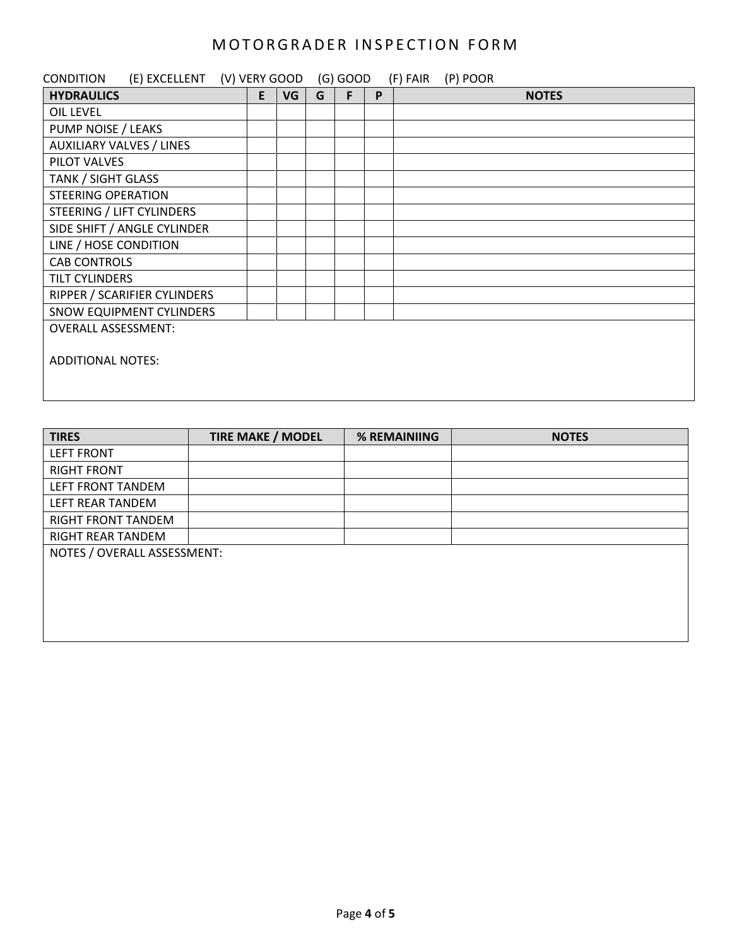| (E) EXCELLENT (V) VERY GOOD<br><b>CONDITION</b> |    |    |   | $(G)$ GOOD |   | (F) FAIR<br>(P) POOR |
|-------------------------------------------------|----|----|---|------------|---|----------------------|
| <b>HYDRAULICS</b>                               | E. | VG | G | F          | P | <b>NOTES</b>         |
| OIL LEVEL                                       |    |    |   |            |   |                      |
| PUMP NOISE / LEAKS                              |    |    |   |            |   |                      |
| <b>AUXILIARY VALVES / LINES</b>                 |    |    |   |            |   |                      |
| PILOT VALVES                                    |    |    |   |            |   |                      |
| <b>TANK / SIGHT GLASS</b>                       |    |    |   |            |   |                      |
| <b>STEERING OPERATION</b>                       |    |    |   |            |   |                      |
| STEERING / LIFT CYLINDERS                       |    |    |   |            |   |                      |
| SIDE SHIFT / ANGLE CYLINDER                     |    |    |   |            |   |                      |
| LINE / HOSE CONDITION                           |    |    |   |            |   |                      |
| <b>CAB CONTROLS</b>                             |    |    |   |            |   |                      |
| <b>TILT CYLINDERS</b>                           |    |    |   |            |   |                      |
| RIPPER / SCARIFIER CYLINDERS                    |    |    |   |            |   |                      |
| SNOW EQUIPMENT CYLINDERS                        |    |    |   |            |   |                      |
| <b>OVERALL ASSESSMENT:</b>                      |    |    |   |            |   |                      |
|                                                 |    |    |   |            |   |                      |
| <b>ADDITIONAL NOTES:</b>                        |    |    |   |            |   |                      |
|                                                 |    |    |   |            |   |                      |
|                                                 |    |    |   |            |   |                      |

| <b>TIRES</b>                | <b>TIRE MAKE / MODEL</b> | % REMAINIING | <b>NOTES</b> |
|-----------------------------|--------------------------|--------------|--------------|
| <b>LEFT FRONT</b>           |                          |              |              |
| <b>RIGHT FRONT</b>          |                          |              |              |
| LEFT FRONT TANDEM           |                          |              |              |
| LEFT REAR TANDEM            |                          |              |              |
| <b>RIGHT FRONT TANDEM</b>   |                          |              |              |
| <b>RIGHT REAR TANDEM</b>    |                          |              |              |
| NOTES / OVERALL ASSESSMENT: |                          |              |              |
|                             |                          |              |              |
|                             |                          |              |              |
|                             |                          |              |              |
|                             |                          |              |              |
|                             |                          |              |              |